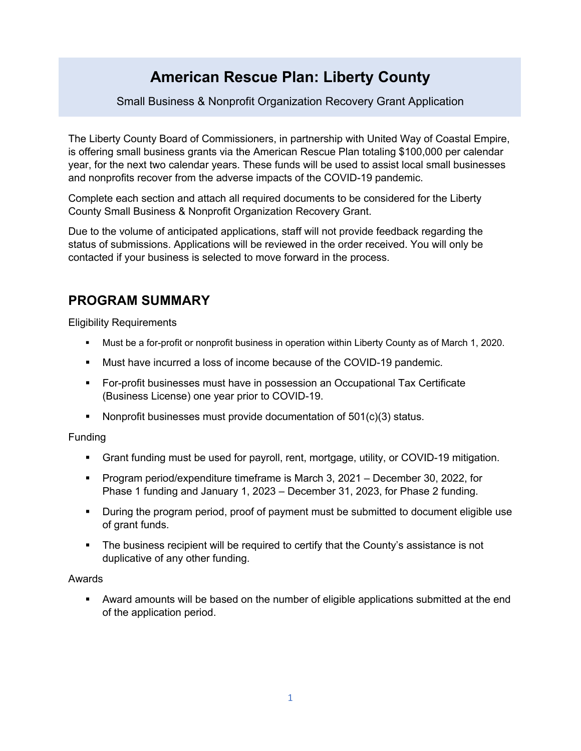# **American Rescue Plan: Liberty County**

Small Business & Nonprofit Organization Recovery Grant Application

The Liberty County Board of Commissioners, in partnership with United Way of Coastal Empire, is offering small business grants via the American Rescue Plan totaling \$100,000 per calendar year, for the next two calendar years. These funds will be used to assist local small businesses and nonprofits recover from the adverse impacts of the COVID-19 pandemic.

Complete each section and attach all required documents to be considered for the Liberty County Small Business & Nonprofit Organization Recovery Grant.

Due to the volume of anticipated applications, staff will not provide feedback regarding the status of submissions. Applications will be reviewed in the order received. You will only be contacted if your business is selected to move forward in the process.

## **PROGRAM SUMMARY**

Eligibility Requirements

- § Must be a for-profit or nonprofit business in operation within Liberty County as of March 1, 2020.
- § Must have incurred a loss of income because of the COVID-19 pandemic.
- § For-profit businesses must have in possession an Occupational Tax Certificate (Business License) one year prior to COVID-19.
- Nonprofit businesses must provide documentation of 501(c)(3) status.

Funding

- § Grant funding must be used for payroll, rent, mortgage, utility, or COVID-19 mitigation.
- § Program period/expenditure timeframe is March 3, 2021 December 30, 2022, for Phase 1 funding and January 1, 2023 – December 31, 2023, for Phase 2 funding.
- During the program period, proof of payment must be submitted to document eligible use of grant funds.
- The business recipient will be required to certify that the County's assistance is not duplicative of any other funding.

### Awards

**■** Award amounts will be based on the number of eligible applications submitted at the end of the application period.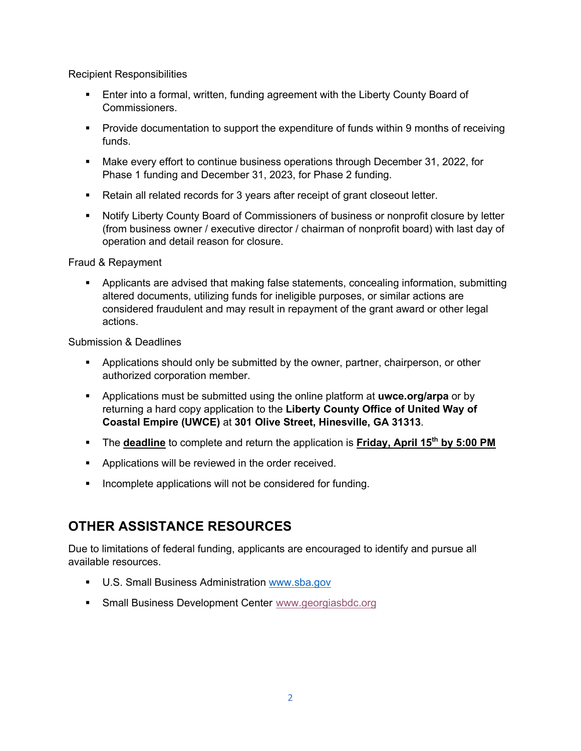Recipient Responsibilities

- § Enter into a formal, written, funding agreement with the Liberty County Board of Commissioners.
- Provide documentation to support the expenditure of funds within 9 months of receiving funds.
- § Make every effort to continue business operations through December 31, 2022, for Phase 1 funding and December 31, 2023, for Phase 2 funding.
- Retain all related records for 3 years after receipt of grant closeout letter.
- Notify Liberty County Board of Commissioners of business or nonprofit closure by letter (from business owner / executive director / chairman of nonprofit board) with last day of operation and detail reason for closure.

### Fraud & Repayment

§ Applicants are advised that making false statements, concealing information, submitting altered documents, utilizing funds for ineligible purposes, or similar actions are considered fraudulent and may result in repayment of the grant award or other legal actions.

Submission & Deadlines

- § Applications should only be submitted by the owner, partner, chairperson, or other authorized corporation member.
- § Applications must be submitted using the online platform at **uwce.org/arpa** or by returning a hard copy application to the **Liberty County Office of United Way of Coastal Empire (UWCE)** at **301 Olive Street, Hinesville, GA 31313**.
- The **deadline** to complete and return the application is Friday, April 15<sup>th</sup> by 5:00 PM
- **Applications will be reviewed in the order received.**
- Incomplete applications will not be considered for funding.

## **OTHER ASSISTANCE RESOURCES**

Due to limitations of federal funding, applicants are encouraged to identify and pursue all available resources.

- U.S. Small Business Administration www.sba.gov
- Small Business Development Center www.georgiasbdc.org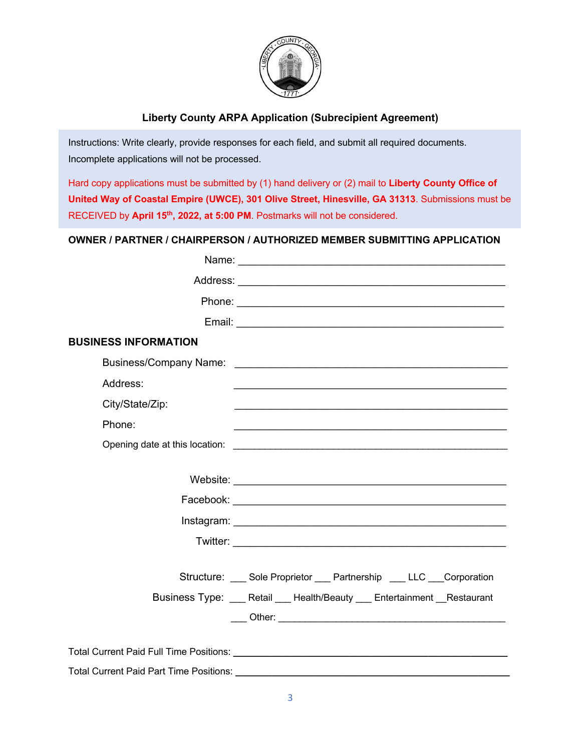

## **Liberty County ARPA Application (Subrecipient Agreement)**

Instructions: Write clearly, provide responses for each field, and submit all required documents. Incomplete applications will not be processed.

Hard copy applications must be submitted by (1) hand delivery or (2) mail to **Liberty County Office of United Way of Coastal Empire (UWCE), 301 Olive Street, Hinesville, GA 31313**. Submissions must be RECEIVED by **April 15th, 2022, at 5:00 PM**. Postmarks will not be considered.

### **OWNER / PARTNER / CHAIRPERSON / AUTHORIZED MEMBER SUBMITTING APPLICATION**

| <b>BUSINESS INFORMATION</b>                    |                                                                 |
|------------------------------------------------|-----------------------------------------------------------------|
|                                                |                                                                 |
| Address:                                       |                                                                 |
| City/State/Zip:                                |                                                                 |
| Phone:                                         |                                                                 |
|                                                |                                                                 |
|                                                |                                                                 |
|                                                |                                                                 |
|                                                |                                                                 |
|                                                |                                                                 |
|                                                |                                                                 |
|                                                |                                                                 |
|                                                | Structure: Sole Proprietor __ Partnership __ LLC __ Corporation |
|                                                | Business Type: Retail Health/Beauty Entertainment Restaurant    |
|                                                |                                                                 |
|                                                |                                                                 |
|                                                |                                                                 |
| <b>Total Current Paid Part Time Positions:</b> |                                                                 |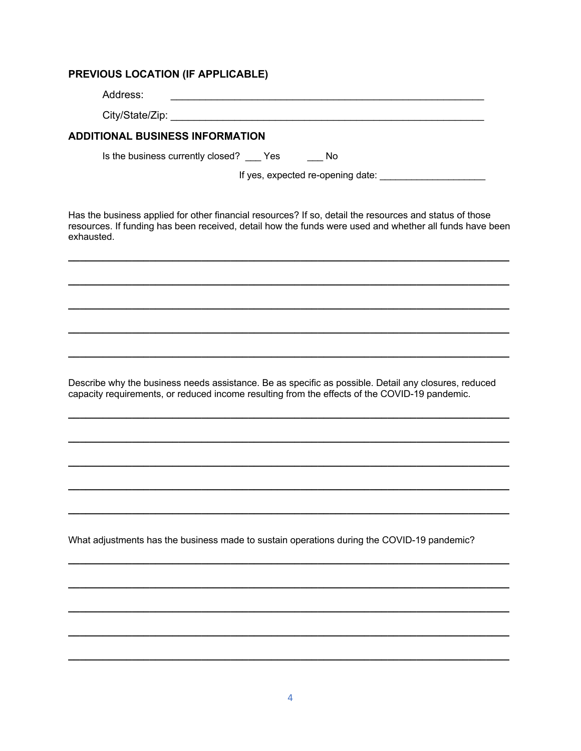#### PREVIOUS LOCATION (IF APPLICABLE)

| Address: |  |
|----------|--|
|          |  |

#### **ADDITIONAL BUSINESS INFORMATION**

Is the business currently closed? \_\_\_\_ Yes \_\_\_\_\_\_ No

If yes, expected re-opening date:

Has the business applied for other financial resources? If so, detail the resources and status of those resources. If funding has been received, detail how the funds were used and whether all funds have been exhausted.

Describe why the business needs assistance. Be as specific as possible. Detail any closures, reduced capacity requirements, or reduced income resulting from the effects of the COVID-19 pandemic.

What adjustments has the business made to sustain operations during the COVID-19 pandemic?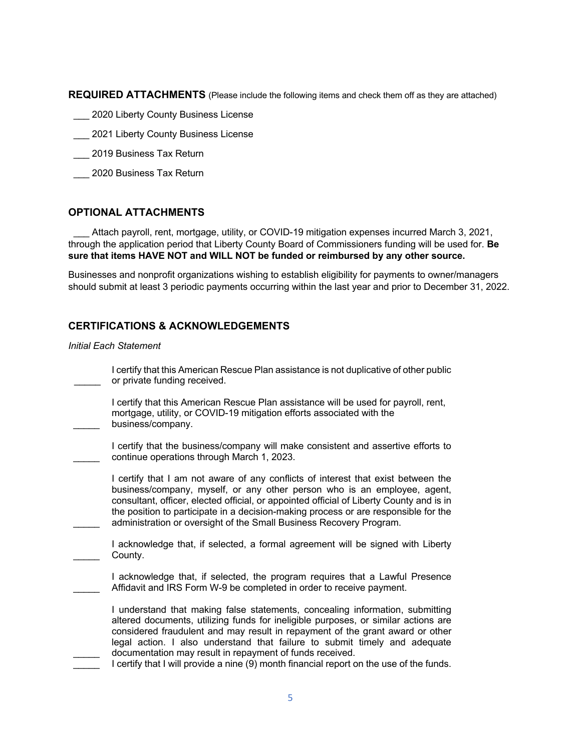**REQUIRED ATTACHMENTS** (Please include the following items and check them off as they are attached)

- 2020 Liberty County Business License
- \_\_\_ 2021 Liberty County Business License
- \_\_\_ 2019 Business Tax Return
- 2020 Business Tax Return

#### **OPTIONAL ATTACHMENTS**

Attach payroll, rent, mortgage, utility, or COVID-19 mitigation expenses incurred March 3, 2021, through the application period that Liberty County Board of Commissioners funding will be used for. **Be sure that items HAVE NOT and WILL NOT be funded or reimbursed by any other source.**

Businesses and nonprofit organizations wishing to establish eligibility for payments to owner/managers should submit at least 3 periodic payments occurring within the last year and prior to December 31, 2022.

#### **CERTIFICATIONS & ACKNOWLEDGEMENTS**

#### *Initial Each Statement*

 $\mathcal{L}$ 

 $\mathcal{L}$ 

 $\mathcal{L}$ 

| I certify that this American Rescue Plan assistance is not duplicative of other public |
|----------------------------------------------------------------------------------------|
| or private funding received.                                                           |
|                                                                                        |

 $\mathcal{L}$ I certify that this American Rescue Plan assistance will be used for payroll, rent, mortgage, utility, or COVID-19 mitigation efforts associated with the business/company.

 $\mathcal{L}$ I certify that the business/company will make consistent and assertive efforts to continue operations through March 1, 2023.

I certify that I am not aware of any conflicts of interest that exist between the business/company, myself, or any other person who is an employee, agent, consultant, officer, elected official, or appointed official of Liberty County and is in the position to participate in a decision-making process or are responsible for the administration or oversight of the Small Business Recovery Program.

 $\mathcal{L}$ I acknowledge that, if selected, a formal agreement will be signed with Liberty County.

I acknowledge that, if selected, the program requires that a Lawful Presence Affidavit and IRS Form W-9 be completed in order to receive payment.

I understand that making false statements, concealing information, submitting altered documents, utilizing funds for ineligible purposes, or similar actions are considered fraudulent and may result in repayment of the grant award or other legal action. I also understand that failure to submit timely and adequate documentation may result in repayment of funds received.

 $\mathcal{L}$ I certify that I will provide a nine (9) month financial report on the use of the funds.